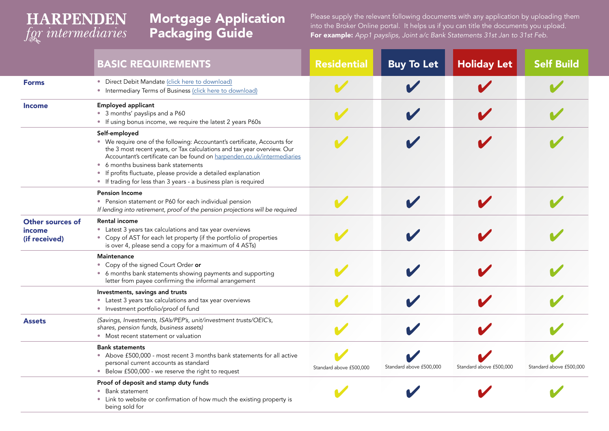## **HARPENDEN** for intermediaries

## Mortgage Application Packaging Guide

Please supply the relevant following documents with any application by uploading them into the Broker Online portal. It helps us if you can title the documents you upload. For example: App1 payslips, Joint a/c Bank Statements 31st Jan to 31st Feb.

|                                             | <b>BASIC REQUIREMENTS</b>                                                                                                                                                                                                                                                                                                                                                                                                    | <b>Residential</b>      | <b>Buy To Let</b>       | <b>Holiday Let</b>      | <b>Self Build</b>       |
|---------------------------------------------|------------------------------------------------------------------------------------------------------------------------------------------------------------------------------------------------------------------------------------------------------------------------------------------------------------------------------------------------------------------------------------------------------------------------------|-------------------------|-------------------------|-------------------------|-------------------------|
| <b>Forms</b>                                | • Direct Debit Mandate (click here to download)<br>• Intermediary Terms of Business (click here to download)                                                                                                                                                                                                                                                                                                                 |                         |                         |                         |                         |
| <b>Income</b>                               | <b>Employed applicant</b><br>• 3 months' payslips and a P60<br>• If using bonus income, we require the latest 2 years P60s                                                                                                                                                                                                                                                                                                   |                         |                         |                         |                         |
|                                             | Self-employed<br>• We require one of the following: Accountant's certificate, Accounts for<br>the 3 most recent years, or Tax calculations and tax year overview. Our<br>Accountant's certificate can be found on harpenden.co.uk/intermediaries<br>• 6 months business bank statements<br>• If profits fluctuate, please provide a detailed explanation<br>• If trading for less than 3 years - a business plan is required |                         |                         |                         |                         |
|                                             | <b>Pension Income</b><br>• Pension statement or P60 for each individual pension<br>If lending into retirement, proof of the pension projections will be required                                                                                                                                                                                                                                                             |                         |                         |                         |                         |
| Other sources of<br>income<br>(if received) | <b>Rental income</b><br>• Latest 3 years tax calculations and tax year overviews<br>• Copy of AST for each let property (if the portfolio of properties<br>is over 4, please send a copy for a maximum of 4 ASTs)                                                                                                                                                                                                            |                         |                         |                         |                         |
|                                             | Maintenance<br>• Copy of the signed Court Order or<br>• 6 months bank statements showing payments and supporting<br>letter from payee confirming the informal arrangement                                                                                                                                                                                                                                                    |                         |                         |                         |                         |
|                                             | Investments, savings and trusts<br>• Latest 3 years tax calculations and tax year overviews<br>• Investment portfolio/proof of fund                                                                                                                                                                                                                                                                                          |                         |                         |                         |                         |
| <b>Assets</b>                               | (Savings, Investments, ISA's/PEP's, unit/investment trusts/OEIC's,<br>shares, pension funds, business assets)<br>• Most recent statement or valuation                                                                                                                                                                                                                                                                        |                         |                         |                         |                         |
|                                             | <b>Bank statements</b><br>• Above £500,000 - most recent 3 months bank statements for all active<br>personal current accounts as standard<br>• Below £500,000 - we reserve the right to request                                                                                                                                                                                                                              | Standard above £500,000 | Standard above £500,000 | Standard above £500,000 | Standard above £500,000 |
|                                             | Proof of deposit and stamp duty funds<br>• Bank statement<br>• Link to website or confirmation of how much the existing property is<br>being sold for                                                                                                                                                                                                                                                                        |                         |                         |                         |                         |